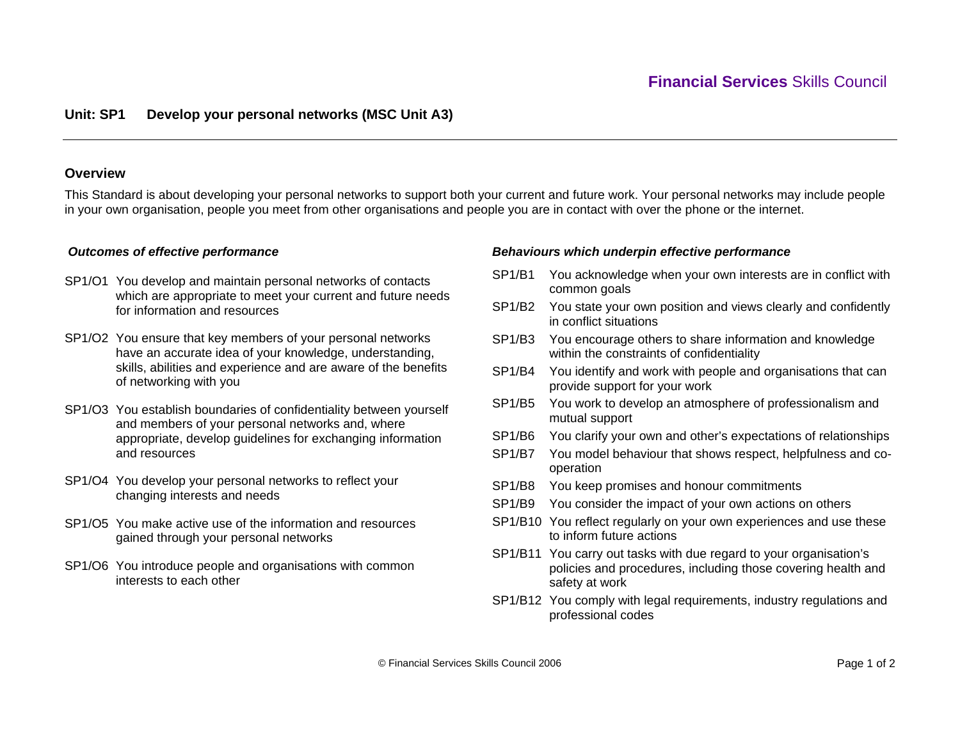## **Overview**

This Standard is about developing your personal networks to support both your current and future work. Your personal networks may include people in your own organisation, people you meet from other organisations and people you are in contact with over the phone or the internet.

# *Outcomes of effective performance*

- SP1/O1 You develop and maintain personal networks of contacts which are appropriate to meet your current and future needs for information and resources
- SP1/O2 You ensure that key members of your personal networks have an accurate idea of your knowledge, understanding, skills, abilities and experience and are aware of the benefits of networking with you
- SP1/O3 You establish boundaries of confidentiality between yourself and members of your personal networks and, where appropriate, develop guidelines for exchanging information and resources
- SP1/O4 You develop your personal networks to reflect your changing interests and needs
- SP1/O5 You make active use of the information and resources gained through your personal networks
- SP1/O6 You introduce people and organisations with common interests to each other

## *Behaviours which underpin effective performance*

- SP1/B1 You acknowledge when your own interests are in conflict with common goals
- SP1/B2 You state your own position and views clearly and confidently in conflict situations
- SP1/B3 You encourage others to share information and knowledge within the constraints of confidentiality
- SP1/B4 You identify and work with people and organisations that can provide support for your work
- SP1/B5 You work to develop an atmosphere of professionalism and mutual support
- SP1/B6 You clarify your own and other's expectations of relationships
- SP1/B7 You model behaviour that shows respect, helpfulness and cooperation
- SP1/B8 You keep promises and honour commitments
- SP1/B9 You consider the impact of your own actions on others
- SP1/B10 You reflect regularly on your own experiences and use these to inform future actions
- SP1/B11 You carry out tasks with due regard to your organisation's policies and procedures, including those covering health and safety at work
- SP1/B12 You comply with legal requirements, industry regulations and professional codes